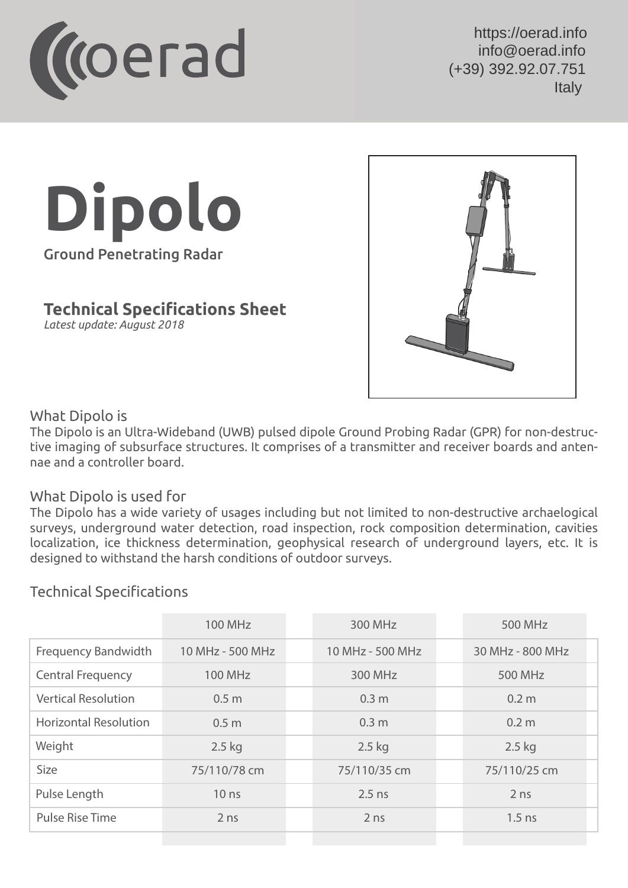

 $U$ oorad info https://oerad.info info@oerad.info +359 876096748 (+39) 392.92.07.751 https://oerad.eu/state.com info@oerad.eu

## **Dipolo** Ground Penetrating Radar

**Technical Specifications Sheet**

*Latest update: August 2018*



## What Dipolo is

The Dipolo is an Ultra-Wideband (UWB) pulsed dipole Ground Probing Radar (GPR) for non-destructive imaging of subsurface structures. It comprises of a transmitter and receiver boards and antennae and a controller board.

## What Dipolo is used for

The Dipolo has a wide variety of usages including but not limited to non-destructive archaelogical surveys, underground water detection, road inspection, rock composition determination, cavities localization, ice thickness determination, geophysical research of underground layers, etc. It is designed to withstand the harsh conditions of outdoor surveys.

## Technical Specifications

|                              | <b>100 MHz</b>   | 300 MHz          | 500 MHz          |
|------------------------------|------------------|------------------|------------------|
| <b>Frequency Bandwidth</b>   | 10 MHz - 500 MHz | 10 MHz - 500 MHz | 30 MHz - 800 MHz |
| <b>Central Frequency</b>     | 100 MHz          | 300 MHz          | 500 MHz          |
| <b>Vertical Resolution</b>   | 0.5 <sub>m</sub> | 0.3 <sub>m</sub> | 0.2 <sub>m</sub> |
| <b>Horizontal Resolution</b> | 0.5 <sub>m</sub> | 0.3 <sub>m</sub> | 0.2 <sub>m</sub> |
| Weight                       | $2.5$ kg         | $2.5$ kg         | $2.5$ kg         |
| Size                         | 75/110/78 cm     | 75/110/35 cm     | 75/110/25 cm     |
| Pulse Length                 | 10 <sub>ns</sub> | $2.5$ ns         | 2 <sub>ns</sub>  |
| <b>Pulse Rise Time</b>       | 2 <sub>ns</sub>  | 2 <sub>ns</sub>  | $1.5$ ns         |
|                              |                  |                  |                  |